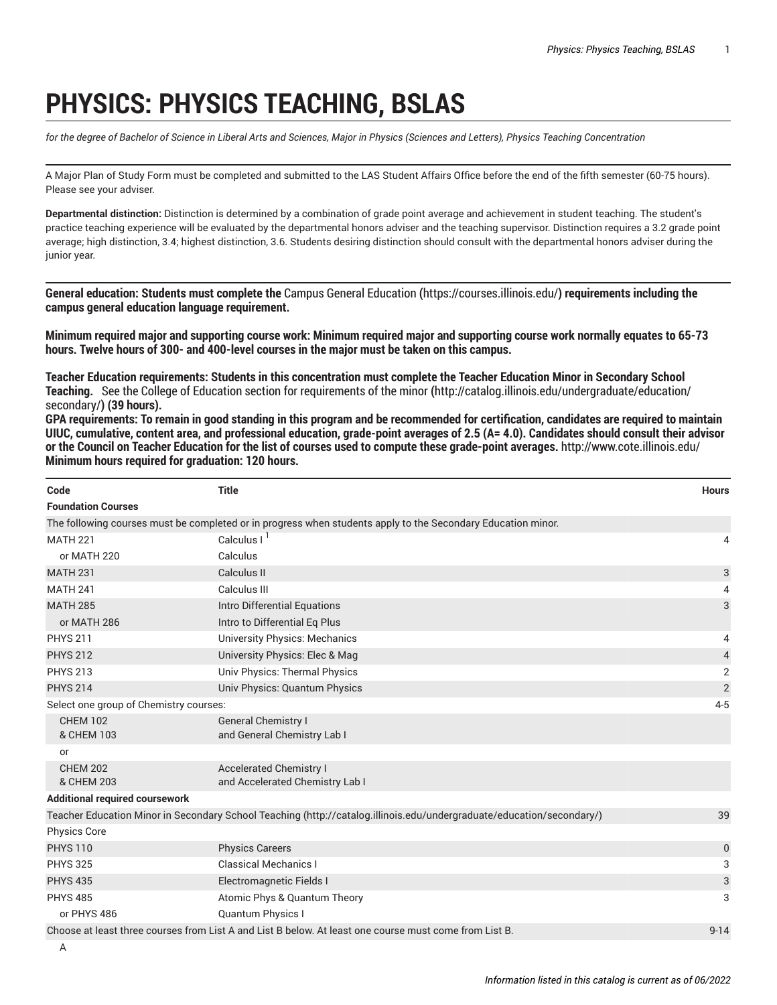## **PHYSICS: PHYSICS TEACHING, BSLAS**

for the degree of Bachelor of Science in Liberal Arts and Sciences, Major in Physics (Sciences and Letters), Physics Teaching Concentration

A Major Plan of Study Form must be completed and submitted to the LAS Student Affairs Office before the end of the fifth semester (60-75 hours). Please see your adviser.

**Departmental distinction:** Distinction is determined by a combination of grade point average and achievement in student teaching. The student's practice teaching experience will be evaluated by the departmental honors adviser and the teaching supervisor. Distinction requires a 3.2 grade point average; high distinction, 3.4; highest distinction, 3.6. Students desiring distinction should consult with the departmental honors adviser during the junior year.

**General education: Students must complete the** Campus General [Education](https://courses.illinois.edu/) **(**<https://courses.illinois.edu/>**) requirements including the campus general education language requirement.**

Minimum required major and supporting course work: Minimum required major and supporting course work normally equates to 65-73 **hours. Twelve hours of 300- and 400-level courses in the major must be taken on this campus.**

Teacher Education requirements: Students in this concentration must complete the Teacher Education Minor in Secondary School **Teaching.** See the College of Education section for [requirements](http://catalog.illinois.edu/undergraduate/education/secondary/) of theminor **(**[http://catalog.illinois.edu/undergraduate/education/](http://catalog.illinois.edu/undergraduate/education/secondary/) [secondary/](http://catalog.illinois.edu/undergraduate/education/secondary/)**) (39 hours).** 

GPA requirements: To remain in good standing in this program and be recommended for certification, candidates are required to maintain UIUC, cumulative, content area, and professional education, grade-point averages of 2.5 (A= 4.0). Candidates should consult their advisor or the Council on Teacher Education for the list of courses used to compute these grade-point averages. <http://www.cote.illinois.edu/> **Minimum hours required for graduation: 120 hours.**

| Code                                                                                                                    | <b>Title</b>                                                                                                          | <b>Hours</b>   |  |  |
|-------------------------------------------------------------------------------------------------------------------------|-----------------------------------------------------------------------------------------------------------------------|----------------|--|--|
| <b>Foundation Courses</b>                                                                                               |                                                                                                                       |                |  |  |
|                                                                                                                         | The following courses must be completed or in progress when students apply to the Secondary Education minor.          |                |  |  |
| <b>MATH 221</b>                                                                                                         | Calculus I <sup>1</sup>                                                                                               | 4              |  |  |
| or MATH 220                                                                                                             | Calculus                                                                                                              |                |  |  |
| <b>MATH 231</b>                                                                                                         | Calculus II                                                                                                           | 3              |  |  |
| <b>MATH 241</b>                                                                                                         | Calculus III                                                                                                          | 4              |  |  |
| <b>MATH 285</b>                                                                                                         | Intro Differential Equations                                                                                          | 3              |  |  |
| or MATH 286                                                                                                             | Intro to Differential Eq Plus                                                                                         |                |  |  |
| <b>PHYS 211</b>                                                                                                         | University Physics: Mechanics                                                                                         | 4              |  |  |
| <b>PHYS 212</b>                                                                                                         | University Physics: Elec & Mag                                                                                        | 4              |  |  |
| <b>PHYS 213</b>                                                                                                         | Univ Physics: Thermal Physics                                                                                         | $\overline{2}$ |  |  |
| <b>PHYS 214</b>                                                                                                         | Univ Physics: Quantum Physics                                                                                         | $\overline{2}$ |  |  |
| Select one group of Chemistry courses:                                                                                  |                                                                                                                       |                |  |  |
| <b>CHEM 102</b>                                                                                                         | <b>General Chemistry I</b>                                                                                            |                |  |  |
| & CHEM 103                                                                                                              | and General Chemistry Lab I                                                                                           |                |  |  |
| or                                                                                                                      |                                                                                                                       |                |  |  |
| <b>CHEM 202</b>                                                                                                         | <b>Accelerated Chemistry I</b>                                                                                        |                |  |  |
| & CHEM 203                                                                                                              | and Accelerated Chemistry Lab I                                                                                       |                |  |  |
| <b>Additional required coursework</b>                                                                                   |                                                                                                                       |                |  |  |
|                                                                                                                         | Teacher Education Minor in Secondary School Teaching (http://catalog.illinois.edu/undergraduate/education/secondary/) | 39             |  |  |
| Physics Core                                                                                                            |                                                                                                                       |                |  |  |
| <b>PHYS 110</b>                                                                                                         | <b>Physics Careers</b>                                                                                                | 0              |  |  |
| <b>PHYS 325</b>                                                                                                         | <b>Classical Mechanics I</b>                                                                                          | 3              |  |  |
| <b>PHYS 435</b>                                                                                                         | Electromagnetic Fields I                                                                                              | 3              |  |  |
| <b>PHYS 485</b>                                                                                                         | Atomic Phys & Quantum Theory                                                                                          | 3              |  |  |
| or PHYS 486                                                                                                             | <b>Quantum Physics I</b>                                                                                              |                |  |  |
| Choose at least three courses from List A and List R below At least and course must come from List R<br>$0-1$ $\Lambda$ |                                                                                                                       |                |  |  |

Choose at least three courses from List A and List B below. At least one course must come from List B. 9-14